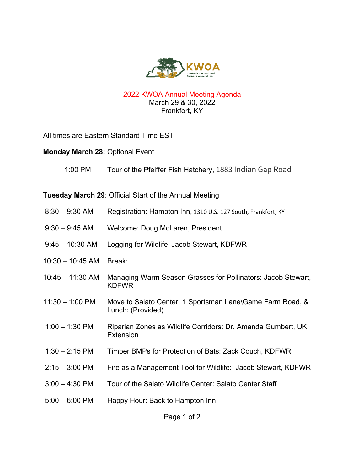

## 2022 KWOA Annual Meeting Agenda March 29 & 30, 2022 Frankfort, KY

All times are Eastern Standard Time EST

## **Monday March 28:** Optional Event

1:00 PM Tour of the Pfeiffer Fish Hatchery, 1883 Indian Gap Road

**Tuesday March 29**: Official Start of the Annual Meeting

- 8:30 9:30 AM Registration: Hampton Inn, 1310 U.S. 127 South, Frankfort, KY
- 9:30 9:45 AM Welcome: Doug McLaren, President
- 9:45 10:30 AM Logging for Wildlife: Jacob Stewart, KDFWR
- 10:30 10:45 AM Break:
- 10:45 11:30 AM Managing Warm Season Grasses for Pollinators: Jacob Stewart, KDFWR
- 11:30 1:00 PM Move to Salato Center, 1 Sportsman Lane\Game Farm Road, & Lunch: (Provided)
- 1:00 1:30 PM Riparian Zones as Wildlife Corridors: Dr. Amanda Gumbert, UK Extension
- 1:30 2:15 PM Timber BMPs for Protection of Bats: Zack Couch, KDFWR
- 2:15 3:00 PM Fire as a Management Tool for Wildlife: Jacob Stewart, KDFWR
- 3:00 4:30 PM Tour of the Salato Wildlife Center: Salato Center Staff
- 5:00 6:00 PM Happy Hour: Back to Hampton Inn